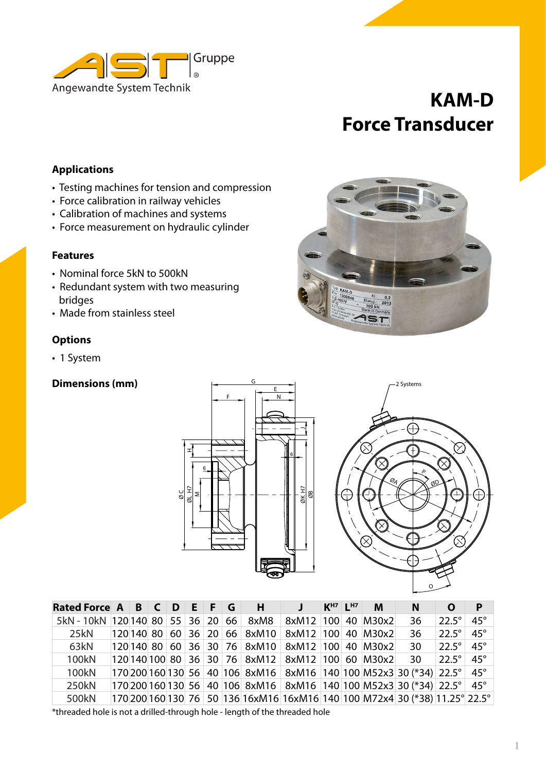

# **KAM-D Force Transducer**

# **Applications**

- Testing machines for tension and compression
- Force calibration in railway vehicles
- Calibration of machines and systems
- Force measurement on hydraulic cylinder

#### **Features**

- Nominal force 5kN to 500kN
- Redundant system with two measuring bridges
- Made from stainless steel

#### **Options**

• 1 System

### **Dimensions (mm)**







| Rated Force A B C D E F G                                                                                |  |  |  |  |  |  | H |                                                  | $KH7$ $LH7$ | M | N.                                                                          | O                | P            |
|----------------------------------------------------------------------------------------------------------|--|--|--|--|--|--|---|--------------------------------------------------|-------------|---|-----------------------------------------------------------------------------|------------------|--------------|
| 5kN - 10kN   120 140   80   55   36   20   66   8xM8                                                     |  |  |  |  |  |  |   | 8xM12 100 40 M30x2                               |             |   | 36                                                                          | $22.5^\circ$     | $45^{\circ}$ |
| 25kN                                                                                                     |  |  |  |  |  |  |   | 120 140 80 60 36 20 66 8xM10 8xM12 100 40 M30x2  |             |   | 36                                                                          | $22.5^\circ$     | $45^{\circ}$ |
| 63kN                                                                                                     |  |  |  |  |  |  |   | 120 140 80 60 36 30 76 8xM10 8xM12 100 40 M30x2  |             |   | 30                                                                          | $22.5^\circ$ 45° |              |
| 100kN                                                                                                    |  |  |  |  |  |  |   | 120 140 100 80 36 30 76 8xM12 8xM12 100 60 M30x2 |             |   | 30                                                                          | $22.5^\circ$     | $45^{\circ}$ |
| 100kN                                                                                                    |  |  |  |  |  |  |   |                                                  |             |   | 170 200 160 130 56 40 106 8xM16 8xM16 140 100 M52x3 30 (*34) 22.5° 45°      |                  |              |
| 250kN                                                                                                    |  |  |  |  |  |  |   |                                                  |             |   | 170 200 160 130 56 40 106 8xM16 8xM16 140 100 M52x3 30 (*34) 22.5° 45°      |                  |              |
| 500kN                                                                                                    |  |  |  |  |  |  |   |                                                  |             |   | 170 200 160 130 76 50 136 16xM16 16xM16 140 100 M72x4 30 (*38) 11.25° 22.5° |                  |              |
| Male and all the later and an all the later and the later later also also failed also also later later a |  |  |  |  |  |  |   |                                                  |             |   |                                                                             |                  |              |

\*threaded hole is not a drilled-through hole - length of the threaded hole